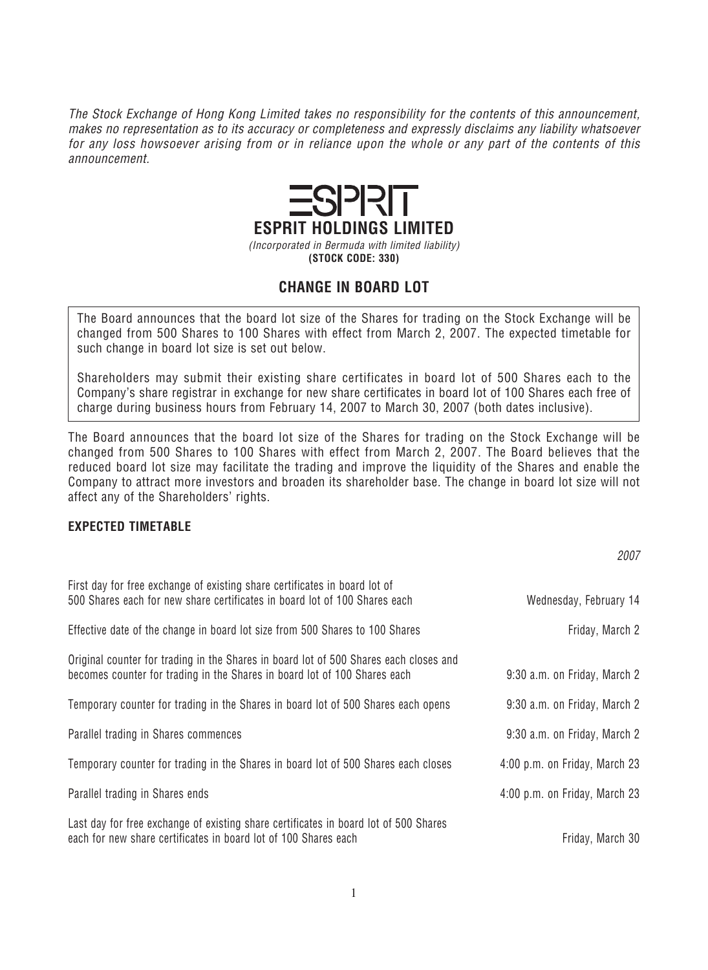*The Stock Exchange of Hong Kong Limited takes no responsibility for the contents of this announcement, makes no representation as to its accuracy or completeness and expressly disclaims any liability whatsoever for any loss howsoever arising from or in reliance upon the whole or any part of the contents of this announcement.*



## **CHANGE IN BOARD LOT**

*The Board announces that the board lot size of the Shares for trading on the Stock Exchange will be changed from 500 Shares to 100 Shares with effect from March 2, 2007. The expected timetable for such change in board lot size is set out below.*

*Shareholders may submit their existing share certificates in board lot of 500 Shares each to the Company's share registrar in exchange for new share certificates in board lot of 100 Shares each free of charge during business hours from February 14, 2007 to March 30, 2007 (both dates inclusive).*

*The Board announces that the board lot size of the Shares for trading on the Stock Exchange will be changed from 500 Shares to 100 Shares with effect from March 2, 2007. The Board believes that the reduced board lot size may facilitate the trading and improve the liquidity of the Shares and enable the Company to attract more investors and broaden its shareholder base. The change in board lot size will not affect any of the Shareholders' rights.*

*2007*

## **EXPECTED TIMETABLE**

| First day for free exchange of existing share certificates in board lot of<br>500 Shares each for new share certificates in board lot of 100 Shares each | Wednesday, February 14        |
|----------------------------------------------------------------------------------------------------------------------------------------------------------|-------------------------------|
|                                                                                                                                                          |                               |
| Effective date of the change in board lot size from 500 Shares to 100 Shares                                                                             | Friday, March 2               |
| Original counter for trading in the Shares in board lot of 500 Shares each closes and                                                                    |                               |
| becomes counter for trading in the Shares in board lot of 100 Shares each                                                                                | 9:30 a.m. on Friday, March 2  |
| Temporary counter for trading in the Shares in board lot of 500 Shares each opens                                                                        | 9:30 a.m. on Friday, March 2  |
| Parallel trading in Shares commences                                                                                                                     | 9:30 a.m. on Friday, March 2  |
| Temporary counter for trading in the Shares in board lot of 500 Shares each closes                                                                       | 4:00 p.m. on Friday, March 23 |
| Parallel trading in Shares ends                                                                                                                          | 4:00 p.m. on Friday, March 23 |
| Last day for free exchange of existing share certificates in board lot of 500 Shares                                                                     |                               |
| each for new share certificates in board lot of 100 Shares each                                                                                          | Friday, March 30              |